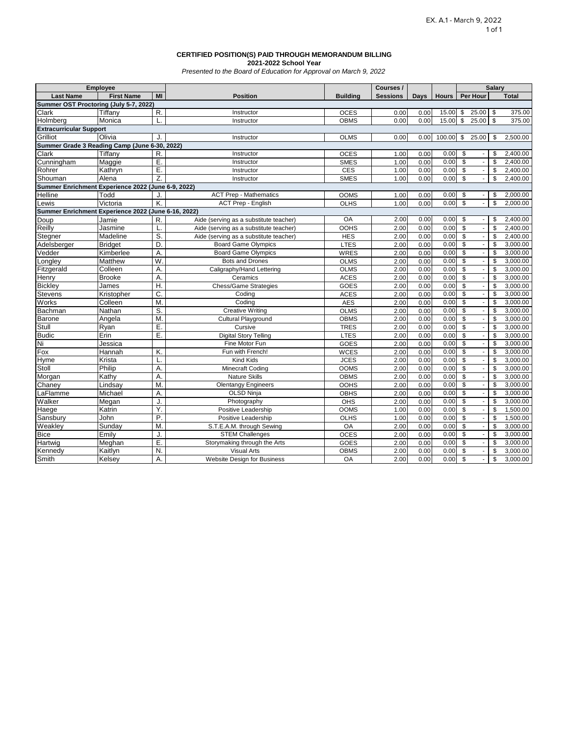#### **CERTIFIED POSITION(S) PAID THROUGH MEMORANDUM BILLING 2021-2022 School Year**

*Presented to the Board of Education for Approval on March 9, 2022*

| <b>Employee</b>                                     |                   |                |                                        |                 | Courses /       |      |              | <b>Salary</b>                                        |                          |              |
|-----------------------------------------------------|-------------------|----------------|----------------------------------------|-----------------|-----------------|------|--------------|------------------------------------------------------|--------------------------|--------------|
| <b>Last Name</b>                                    | <b>First Name</b> | MI             | <b>Position</b>                        | <b>Building</b> | <b>Sessions</b> | Days | <b>Hours</b> | Per Hour                                             |                          | <b>Total</b> |
| Summer OST Proctoring (July 5-7, 2022)              |                   |                |                                        |                 |                 |      |              |                                                      |                          |              |
| Clark                                               | Tiffany           | R.             | Instructor                             | <b>OCES</b>     | 0.00            | 0.00 | 15.00        | \$<br>25.00                                          | \$                       | 375.00       |
| Holmberg                                            | Monica            | L.             | Instructor                             | <b>OBMS</b>     | 0.00            | 0.00 | 15.00        | \$<br>25.00                                          | $\mathbb{S}$             | 375.00       |
| <b>Extracurricular Support</b>                      |                   |                |                                        |                 |                 |      |              |                                                      |                          |              |
| Grilliot                                            | Olivia            | J.             | Instructor                             | <b>OLMS</b>     | 0.00            | 0.00 | 100.00       | \$<br>25.00                                          | \$                       | 2,500.00     |
| Summer Grade 3 Reading Camp (June 6-30, 2022)       |                   |                |                                        |                 |                 |      |              |                                                      |                          |              |
| Clark                                               | Tiffanv           | R.             | Instructor                             | <b>OCES</b>     | 1.00            | 0.00 | 0.00         | \$                                                   | \$                       | 2,400.00     |
| Cunningham                                          | Maggie            | Ε.             | Instructor                             | <b>SMES</b>     | 1.00            | 0.00 | 0.00         | $\overline{\mathcal{S}}$<br>$\omega$                 | \$                       | 2.400.00     |
| Rohrer                                              | Kathryn           | Ε.             | Instructor                             | <b>CES</b>      | 1.00            | 0.00 | 0.00         | $\overline{\mathbf{s}}$<br>$\overline{\phantom{a}}$  | \$                       | 2,400.00     |
| Shouman                                             | Alena             | Z.             | Instructor                             | <b>SMES</b>     | 1.00            | 0.00 | 0.00         | $\overline{\mathcal{S}}$<br>L.                       | $\mathsf{\$}$            | 2,400.00     |
| Summer Enrichment Experience 2022 (June 6-9, 2022)  |                   |                |                                        |                 |                 |      |              |                                                      |                          |              |
| Helline                                             | Todd              | J.             | <b>ACT Prep - Mathematics</b>          | <b>OOMS</b>     | 1.00            | 0.00 | 0.00         | \$                                                   | \$                       | 2,000.00     |
| _ewis                                               | Victoria          | K.             | <b>ACT Prep - English</b>              | OLHS            | 1.00            | 0.00 | 0.00         | $\overline{\mathbb{S}}$<br>$\overline{\phantom{a}}$  | Ŝ.                       | 2.000.00     |
| Summer Enrichment Experience 2022 (June 6-16, 2022) |                   |                |                                        |                 |                 |      |              |                                                      |                          |              |
| Doup                                                | Jamie             | R.             | Aide (serving as a substitute teacher) | <b>OA</b>       | 2.00            | 0.00 | 0.00         | \$<br>$\overline{\phantom{a}}$                       | \$                       | 2,400.00     |
| <b>Reilly</b>                                       | Jasmine           | L.             | Aide (serving as a substitute teacher) | <b>OOHS</b>     | 2.00            | 0.00 | 0.00         | $\overline{\mathcal{S}}$<br>$\blacksquare$           | \$                       | 2,400.00     |
| Stegner                                             | Madeline          | S.             | Aide (serving as a substitute teacher) | <b>HES</b>      | 2.00            | 0.00 | 0.00         | $\mathfrak{s}$<br>$\Box$                             | \$                       | 2,400.00     |
| Adelsberger                                         | <b>Bridget</b>    | D.             | <b>Board Game Olympics</b>             | <b>LTES</b>     | 2.00            | 0.00 | 0.00         | $\overline{\mathbf{s}}$<br>$\overline{\phantom{a}}$  | $\overline{\mathcal{S}}$ | 3,000.00     |
| Vedder                                              | Kimberlee         | A.             | <b>Board Game Olympics</b>             | WRES            | 2.00            | 0.00 | 0.00         | $\overline{\mathbf{s}}$<br>$\overline{\phantom{a}}$  | \$                       | 3,000.00     |
| Longley                                             | Matthew           | W              | <b>Bots and Drones</b>                 | <b>OLMS</b>     | 2.00            | 0.00 | 0.00         | \$<br>$\Box$                                         | \$                       | 3,000.00     |
| Fitzgerald                                          | Colleen           | A.             | Caligraphy/Hand Lettering              | <b>OLMS</b>     | 2.00            | 0.00 | 0.00         | $\overline{\mathcal{S}}$<br>$\overline{\phantom{a}}$ | $\overline{\mathcal{S}}$ | 3,000.00     |
| Henry                                               | <b>Brooke</b>     | Α.             | Ceramics                               | <b>ACES</b>     | 2.00            | 0.00 | 0.00         | $\overline{\mathbf{s}}$<br>$\Box$                    | \$                       | 3,000.00     |
| <b>Bickley</b>                                      | James             | H.             | Chess/Game Strategies                  | <b>GOES</b>     | 2.00            | 0.00 | 0.00         | \$<br>$\Box$                                         | \$                       | 3,000.00     |
| <b>Stevens</b>                                      | Kristopher        | C.             | Coding                                 | <b>ACES</b>     | 2.00            | 0.00 | 0.00         | $\overline{\mathbf{s}}$<br>$\overline{\phantom{a}}$  | \$                       | 3,000.00     |
| Works                                               | Colleen           | $\overline{M}$ | $\overline{C}$ oding                   | <b>AES</b>      | 2.00            | 0.00 | 0.00         | $\overline{\mathcal{S}}$<br>$\blacksquare$           | \$                       | 3,000.00     |
| Bachman                                             | Nathan            | S.             | <b>Creative Writing</b>                | <b>OLMS</b>     | 2.00            | 0.00 | 0.00         | $\overline{\mathcal{S}}$<br>$\blacksquare$           | \$                       | 3,000.00     |
| Barone                                              | Angela            | M.             | <b>Cultural Playground</b>             | <b>OBMS</b>     | 2.00            | 0.00 | 0.00         | $\overline{\mathbf{s}}$<br>$\overline{\phantom{a}}$  | \$                       | 3,000.00     |
| Stull                                               | Ryan              | Ε.             | Cursive                                | <b>TRES</b>     | 2.00            | 0.00 | 0.00         | $\mathfrak{s}$<br>$\overline{\phantom{a}}$           | \$                       | 3,000.00     |
| <b>Budic</b>                                        | Erin              | E.             | <b>Digital Story Telling</b>           | <b>LTES</b>     | 2.00            | 0.00 | 0.00         | $\overline{\mathcal{S}}$<br>$\overline{\phantom{a}}$ | \$                       | 3,000.00     |
| Ni                                                  | Jessica           |                | Fine Motor Fun                         | <b>GOES</b>     | 2.00            | 0.00 | 0.00         | $\overline{\$}$<br>$\blacksquare$                    | \$                       | 3,000.00     |
| $F_{OX}$                                            | Hannah            | Κ.             | Fun with French!                       | <b>WCES</b>     | 2.00            | 0.00 | 0.00         | $\mathfrak{S}$<br>$\blacksquare$                     | \$                       | 3,000.00     |
| Hyme                                                | Krista            | L.             | <b>Kind Kids</b>                       | <b>JCES</b>     | 2.00            | 0.00 | 0.00         | \$<br>$\Box$                                         | \$                       | 3,000.00     |
| Stoll                                               | Philip            | A.             | Minecraft Coding                       | <b>OOMS</b>     | 2.00            | 0.00 | 0.00         | $\overline{\$}$<br>$\overline{\phantom{a}}$          | \$                       | 3,000.00     |
| Morgan                                              | Kathy             | Α.             | <b>Nature Skills</b>                   | <b>OBMS</b>     | 2.00            | 0.00 | 0.00         | $\overline{\mathbf{s}}$<br>$\mathbf{r}$              | \$                       | 3,000.00     |
| Chaney                                              | Lindsay           | M.             | <b>Olentangy Engineers</b>             | <b>OOHS</b>     | 2.00            | 0.00 | 0.00         | $\mathfrak{s}$<br>÷.                                 | \$                       | 3,000.00     |
| LaFlamme                                            | Michael           | Α.             | <b>OLSD Ninja</b>                      | <b>OBHS</b>     | 2.00            | 0.00 | 0.00         | \$<br>$\overline{\phantom{a}}$                       | \$                       | 3,000.00     |
| Walker                                              | Megan             | J.             | Photography                            | OHS             | 2.00            | 0.00 | 0.00         | $\overline{\mathcal{S}}$<br>$\mathbb{Z}^2$           | \$                       | 3,000.00     |
| Haege                                               | Katrin            | Y.             | Positive Leadership                    | <b>OOMS</b>     | 1.00            | 0.00 | 0.00         | \$<br>$\Box$                                         | \$                       | 1,500.00     |
| Sansbury                                            | John              | P.             | Positive Leadership                    | <b>OLHS</b>     | 1.00            | 0.00 | 0.00         | $\overline{\mathbf{s}}$<br>$\omega$                  | \$                       | 1,500.00     |
| Weakley                                             | Sunday            | M.             | S.T.E.A.M. through Sewing              | <b>OA</b>       | 2.00            | 0.00 | 0.00         | \$<br>$\overline{\phantom{a}}$                       | \$                       | 3,000.00     |
| <b>Bice</b>                                         | Emily             | J.             | <b>STEM Challenges</b>                 | <b>OCES</b>     | 2.00            | 0.00 | 0.00         | \$<br>$\blacksquare$                                 | \$                       | 3,000.00     |
| Hartwig                                             | Meghan            | E.             | Storymaking through the Arts           | <b>GOES</b>     | 2.00            | 0.00 | 0.00         | $\overline{\mathcal{S}}$<br>$\blacksquare$           | \$                       | 3,000.00     |
| Kennedy                                             | Kaitlyn           | N.             | <b>Visual Arts</b>                     | <b>OBMS</b>     | 2.00            | 0.00 | 0.00         | $\mathfrak{S}$<br>$\mathbb{Z}^2$                     | \$                       | 3,000.00     |
| Smith                                               | Kelsey            | A.             | <b>Website Design for Business</b>     | OA              | 2.00            | 0.00 | 0.00         | $\overline{\mathbf{s}}$<br>$\mathbf{r}$              | $\overline{\mathcal{S}}$ | 3,000.00     |
|                                                     |                   |                |                                        |                 |                 |      |              |                                                      |                          |              |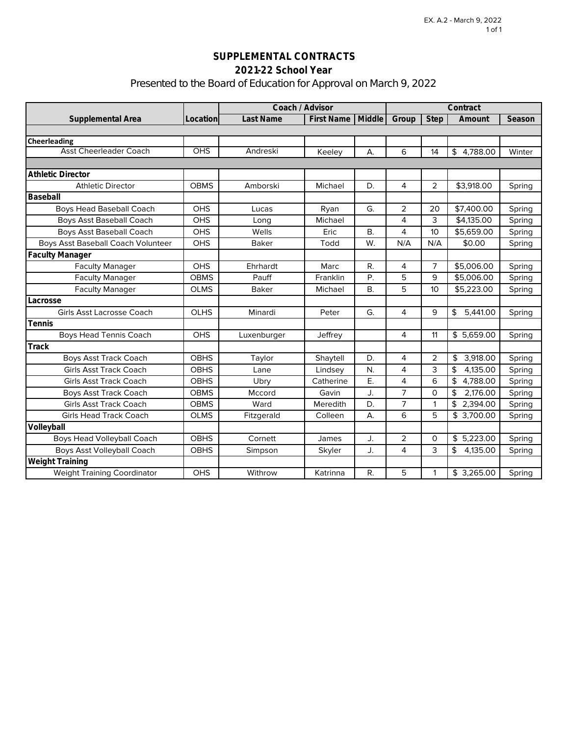# **SUPPLEMENTAL CONTRACTS 2021-22 School Year** Presented to the Board of Education for Approval on March 9, 2022

|                                    | Coach / Advisor |              |                   | Contract  |                |                 |                |        |
|------------------------------------|-----------------|--------------|-------------------|-----------|----------------|-----------------|----------------|--------|
| Supplemental Area                  | Location        | Last Name    | <b>First Name</b> | Middle    | Group          | <b>Step</b>     | Amount         | Season |
|                                    |                 |              |                   |           |                |                 |                |        |
| <b>Cheerleading</b>                |                 |              |                   |           |                |                 |                |        |
| <b>Asst Cheerleader Coach</b>      | <b>OHS</b>      | Andreski     | Keeley            | А.        | 6              | 14              | \$4.788.00     | Winter |
|                                    |                 |              |                   |           |                |                 |                |        |
| <b>Athletic Director</b>           |                 |              |                   |           |                |                 |                |        |
| <b>Athletic Director</b>           | <b>OBMS</b>     | Amborski     | Michael           | D.        | 4              | 2               | \$3,918.00     | Spring |
| Baseball                           |                 |              |                   |           |                |                 |                |        |
| <b>Boys Head Baseball Coach</b>    | <b>OHS</b>      | Lucas        | Ryan              | G.        | 2              | 20              | \$7,400.00     | Spring |
| <b>Boys Asst Baseball Coach</b>    | <b>OHS</b>      | Long         | Michael           |           | 4              | 3               | \$4,135.00     | Spring |
| <b>Boys Asst Baseball Coach</b>    | <b>OHS</b>      | Wells        | Eric              | <b>B.</b> | 4              | 10              | \$5,659.00     | Spring |
| Boys Asst Baseball Coach Volunteer | <b>OHS</b>      | <b>Baker</b> | Todd              | W.        | N/A            | N/A             | \$0.00         | Spring |
| <b>Faculty Manager</b>             |                 |              |                   |           |                |                 |                |        |
| <b>Faculty Manager</b>             | <b>OHS</b>      | Ehrhardt     | Marc              | R.        | 4              | $\overline{7}$  | \$5,006.00     | Spring |
| <b>Faculty Manager</b>             | <b>OBMS</b>     | Pauff        | Franklin          | P.        | 5              | 9               | \$5,006.00     | Spring |
| <b>Faculty Manager</b>             | <b>OLMS</b>     | <b>Baker</b> | Michael           | <b>B.</b> | 5              | 10 <sup>°</sup> | \$5,223.00     | Spring |
| Lacrosse                           |                 |              |                   |           |                |                 |                |        |
| <b>Girls Asst Lacrosse Coach</b>   | <b>OLHS</b>     | Minardi      | Peter             | G.        | 4              | 9               | 5,441.00<br>\$ | Spring |
| Tennis                             |                 |              |                   |           |                |                 |                |        |
| <b>Boys Head Tennis Coach</b>      | <b>OHS</b>      | Luxenburger  | Jeffrey           |           | 4              | 11              | \$5,659.00     | Spring |
| Track                              |                 |              |                   |           |                |                 |                |        |
| <b>Boys Asst Track Coach</b>       | <b>OBHS</b>     | Taylor       | Shaytell          | D.        | 4              | 2               | 3,918.00<br>\$ | Spring |
| <b>Girls Asst Track Coach</b>      | <b>OBHS</b>     | Lane         | Lindsey           | N.        | $\overline{4}$ | 3               | 4,135.00<br>\$ | Spring |
| <b>Girls Asst Track Coach</b>      | <b>OBHS</b>     | Ubry         | Catherine         | Ε.        | 4              | 6               | \$4,788.00     | Spring |
| <b>Boys Asst Track Coach</b>       | <b>OBMS</b>     | Mccord       | Gavin             | J.        | $\overline{7}$ | $\Omega$        | 2,176.00<br>\$ | Spring |
| <b>Girls Asst Track Coach</b>      | <b>OBMS</b>     | Ward         | Meredith          | D.        | $\overline{7}$ | 1               | \$2,394.00     | Spring |
| <b>Girls Head Track Coach</b>      | <b>OLMS</b>     | Fitzgerald   | Colleen           | А.        | 6              | 5               | \$3,700.00     | Spring |
| Volleyball                         |                 |              |                   |           |                |                 |                |        |
| <b>Boys Head Volleyball Coach</b>  | <b>OBHS</b>     | Cornett      | James             | J.        | 2              | $\Omega$        | \$5,223.00     | Spring |
| <b>Boys Asst Volleyball Coach</b>  | <b>OBHS</b>     | Simpson      | Skyler            | J.        | 4              | 3               | \$<br>4,135.00 | Spring |
| Weight Training                    |                 |              |                   |           |                |                 |                |        |
| <b>Weight Training Coordinator</b> | <b>OHS</b>      | Withrow      | Katrinna          | R.        | 5              | 1               | \$3,265.00     | Spring |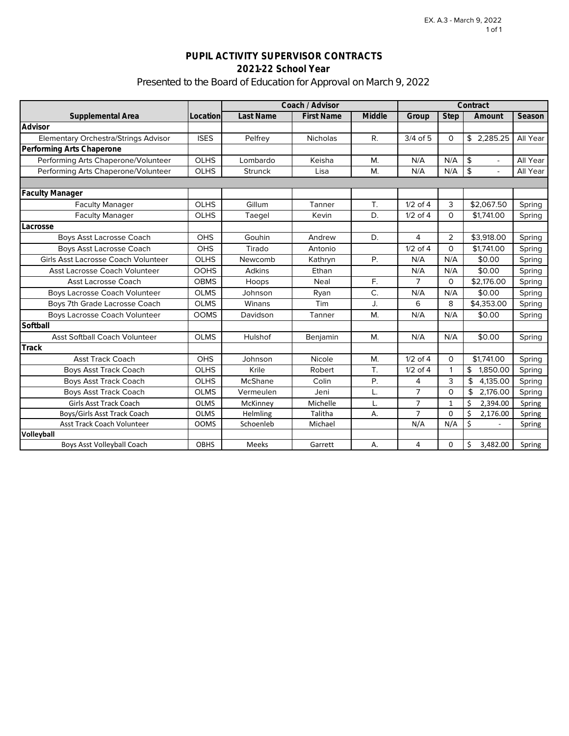# **PUPIL ACTIVITY SUPERVISOR CONTRACTS 2021-22 School Year** Presented to the Board of Education for Approval on March 9, 2022

|                                             |             | Coach / Advisor |                   |        | Contract       |                |                                           |          |
|---------------------------------------------|-------------|-----------------|-------------------|--------|----------------|----------------|-------------------------------------------|----------|
| Supplemental Area                           | Location    | Last Name       | <b>First Name</b> | Middle | Group          | <b>Step</b>    | Amount                                    | Season   |
| Advisor                                     |             |                 |                   |        |                |                |                                           |          |
| <b>Elementary Orchestra/Strings Advisor</b> | <b>ISES</b> | Pelfrey         | <b>Nicholas</b>   | R.     | 3/4 of 5       | 0              | \$2,285.25                                | All Year |
| Performing Arts Chaperone                   |             |                 |                   |        |                |                |                                           |          |
| Performing Arts Chaperone/Volunteer         | <b>OLHS</b> | Lombardo        | Keisha            | M.     | N/A            | N/A            | \$                                        | All Year |
| Performing Arts Chaperone/Volunteer         | <b>OLHS</b> | <b>Strunck</b>  | Lisa              | M.     | N/A            | N/A            | $\frac{1}{2}$<br>$\overline{\phantom{0}}$ | All Year |
|                                             |             |                 |                   |        |                |                |                                           |          |
| <b>Faculty Manager</b>                      |             |                 |                   |        |                |                |                                           |          |
| <b>Faculty Manager</b>                      | <b>OLHS</b> | Gillum          | Tanner            | T.     | $1/2$ of 4     | 3              | \$2,067.50                                | Spring   |
| <b>Faculty Manager</b>                      | OLHS        | Taegel          | Kevin             | D.     | $1/2$ of 4     | $\Omega$       | \$1,741.00                                | Spring   |
| Lacrosse                                    |             |                 |                   |        |                |                |                                           |          |
| Boys Asst Lacrosse Coach                    | OHS         | Gouhin          | Andrew            | D.     | 4              | $\overline{2}$ | \$3,918.00                                | Spring   |
| <b>Boys Asst Lacrosse Coach</b>             | OHS         | Tirado          | Antonio           |        | $1/2$ of $4$   | $\Omega$       | \$1,741.00                                | Spring   |
| Girls Asst Lacrosse Coach Volunteer         | <b>OLHS</b> | Newcomb         | Kathryn           | Ρ.     | N/A            | N/A            | \$0.00                                    | Spring   |
| Asst Lacrosse Coach Volunteer               | <b>OOHS</b> | <b>Adkins</b>   | Ethan             |        | N/A            | N/A            | \$0.00                                    | Spring   |
| Asst Lacrosse Coach                         | <b>OBMS</b> | Hoops           | Neal              | F.     | 7              | $\Omega$       | \$2,176.00                                | Spring   |
| <b>Boys Lacrosse Coach Volunteer</b>        | <b>OLMS</b> | Johnson         | Ryan              | C.     | N/A            | N/A            | \$0.00                                    | Spring   |
| Boys 7th Grade Lacrosse Coach               | <b>OLMS</b> | Winans          | Tim               | J.     | 6              | 8              | \$4,353.00                                | Spring   |
| Boys Lacrosse Coach Volunteer               | <b>OOMS</b> | Davidson        | Tanner            | M.     | N/A            | N/A            | \$0.00                                    | Spring   |
| Softball                                    |             |                 |                   |        |                |                |                                           |          |
| <b>Asst Softball Coach Volunteer</b>        | <b>OLMS</b> | Hulshof         | Benjamin          | M.     | N/A            | N/A            | \$0.00                                    | Spring   |
| Track                                       |             |                 |                   |        |                |                |                                           |          |
| <b>Asst Track Coach</b>                     | <b>OHS</b>  | Johnson         | Nicole            | M.     | $1/2$ of $4$   | $\Omega$       | \$1,741.00                                | Spring   |
| <b>Boys Asst Track Coach</b>                | OLHS        | Krile           | Robert            | T.     | $1/2$ of 4     | $\mathbf{1}$   | \$<br>1,850.00                            | Spring   |
| <b>Boys Asst Track Coach</b>                | <b>OLHS</b> | McShane         | Colin             | Ρ.     | 4              | 3              | \$<br>4,135.00                            | Spring   |
| <b>Boys Asst Track Coach</b><br><b>OLMS</b> |             | Vermeulen       | Jeni              | L.     | 7              | $\Omega$       | 2,176.00<br>\$                            | Spring   |
| Girls Asst Track Coach<br><b>OLMS</b>       |             | McKinney        | Michelle          | L.     | $\overline{7}$ | $\mathbf{1}$   | Ś<br>2,394.00                             | Spring   |
| Boys/Girls Asst Track Coach<br><b>OLMS</b>  |             | Helmling        | Talitha           | А.     | $\overline{7}$ | 0              | \$<br>2,176.00                            | Spring   |
| <b>Asst Track Coach Volunteer</b>           | <b>OOMS</b> | Schoenleb       | Michael           |        | N/A            | N/A            | \$                                        | Spring   |
| Volleyball                                  |             |                 |                   |        |                |                |                                           |          |
| <b>Boys Asst Volleyball Coach</b>           | <b>OBHS</b> | Meeks           | Garrett           | А.     | 4              | 0              | Ś.<br>3,482.00                            | Spring   |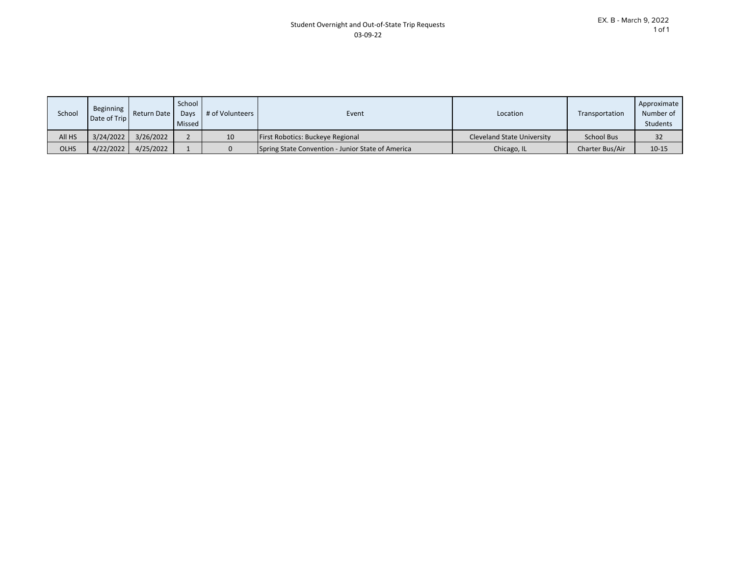| School      | Beginning<br>Date of Trip | Return Date | School<br>Davs<br>Missed | # of Volunteers | Event                                             | Location                          | Transportation    | Approximate<br>Number of<br><b>Students</b> |
|-------------|---------------------------|-------------|--------------------------|-----------------|---------------------------------------------------|-----------------------------------|-------------------|---------------------------------------------|
| All HS      | 3/24/2022                 | 3/26/2022   |                          | 10              | <b>First Robotics: Buckeye Regional</b>           | <b>Cleveland State University</b> | <b>School Bus</b> | 32                                          |
| <b>OLHS</b> | 4/22/2022                 | 4/25/2022   |                          |                 | Spring State Convention - Junior State of America | Chicago, IL                       | Charter Bus/Air   | $10 - 15$                                   |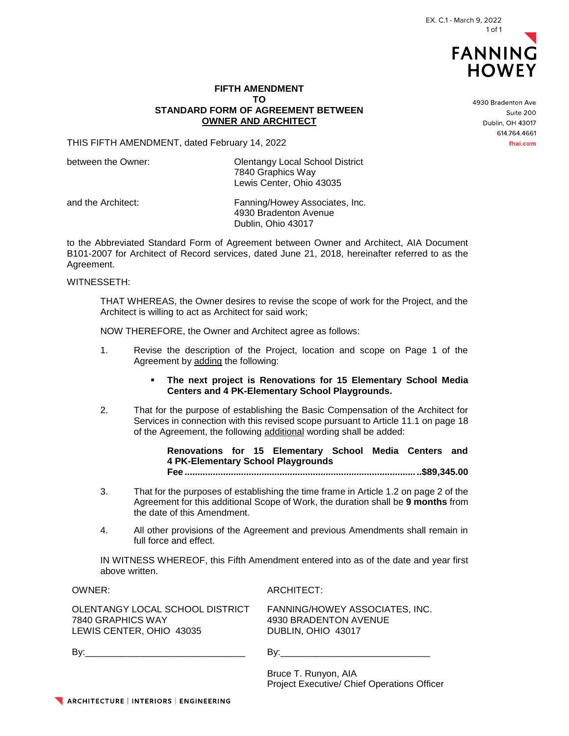

### **FIFTH AMENDMENT TO STANDARD FORM OF AGREEMENT BETWEEN OWNER AND ARCHITECT**

THIS FIFTH AMENDMENT, dated February 14, 2022

between the Owner: Changeler Colentangy Local School District 7840 Graphics Way Lewis Center, Ohio 43035

and the Architect: Fanning/Howey Associates, Inc. 4930 Bradenton Avenue Dublin, Ohio 43017

to the Abbreviated Standard Form of Agreement between Owner and Architect, AIA Document B101-2007 for Architect of Record services, dated June 21, 2018, hereinafter referred to as the Agreement.

#### WITNESSETH:

THAT WHEREAS, the Owner desires to revise the scope of work for the Project, and the Architect is willing to act as Architect for said work;

NOW THEREFORE, the Owner and Architect agree as follows:

- 1. Revise the description of the Project, location and scope on Page 1 of the Agreement by adding the following:
	- **The next project is Renovations for 15 Elementary School Media Centers and 4 PK-Elementary School Playgrounds.**
- 2. That for the purpose of establishing the Basic Compensation of the Architect for Services in connection with this revised scope pursuant to Article 11.1 on page 18 of the Agreement, the following additional wording shall be added:

**Renovations for 15 Elementary School Media Centers and 4 PK-Elementary School Playgrounds**

**Fee ............................................................................................\$89,345.00**

- 3. That for the purposes of establishing the time frame in Article 1.2 on page 2 of the Agreement for this additional Scope of Work, the duration shall be **9 months** from the date of this Amendment.
- 4. All other provisions of the Agreement and previous Amendments shall remain in full force and effect.

IN WITNESS WHEREOF, this Fifth Amendment entered into as of the date and year first above written.

OWNER: ARCHITECT:

| OLENTANGY LOCAL SCHOOL DISTRICT |
|---------------------------------|
| 7840 GRAPHICS WAY               |
| LEWIS CENTER, OHIO 43035        |

FANNING/HOWEY ASSOCIATES, INC. 4930 BRADENTON AVENUE DUBLIN, OHIO 43017

By:\_\_\_\_\_\_\_\_\_\_\_\_\_\_\_\_\_\_\_\_\_\_\_\_\_\_\_\_\_\_\_ By:\_\_\_\_\_\_\_\_\_\_\_\_\_\_\_\_\_\_\_\_\_\_\_\_\_\_\_\_\_

Bruce T. Runyon, AIA Project Executive/ Chief Operations Officer 4930 Bradenton Ave Suite 200 Dublin, OH 43017 614.764.4661 fhai.com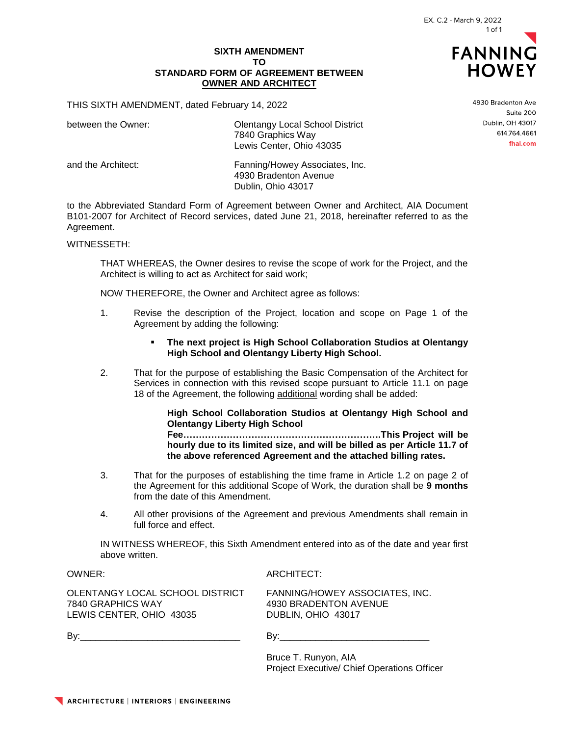## **SIXTH AMENDMENT TO STANDARD FORM OF AGREEMENT BETWEEN OWNER AND ARCHITECT**

THIS SIXTH AMENDMENT, dated February 14, 2022

between the Owner: Changel Colentangy Local School District 7840 Graphics Way Lewis Center, Ohio 43035

and the Architect: Fanning/Howey Associates, Inc. 4930 Bradenton Avenue Dublin, Ohio 43017

to the Abbreviated Standard Form of Agreement between Owner and Architect, AIA Document B101-2007 for Architect of Record services, dated June 21, 2018, hereinafter referred to as the Agreement.

WITNESSETH:

THAT WHEREAS, the Owner desires to revise the scope of work for the Project, and the Architect is willing to act as Architect for said work;

NOW THEREFORE, the Owner and Architect agree as follows:

- 1. Revise the description of the Project, location and scope on Page 1 of the Agreement by adding the following:
	- **The next project is High School Collaboration Studios at Olentangy High School and Olentangy Liberty High School.**
- 2. That for the purpose of establishing the Basic Compensation of the Architect for Services in connection with this revised scope pursuant to Article 11.1 on page 18 of the Agreement, the following additional wording shall be added:

**High School Collaboration Studios at Olentangy High School and Olentangy Liberty High School** 

**Fee……………………………………………………….This Project will be hourly due to its limited size, and will be billed as per Article 11.7 of the above referenced Agreement and the attached billing rates.** 

- 3. That for the purposes of establishing the time frame in Article 1.2 on page 2 of the Agreement for this additional Scope of Work, the duration shall be **9 months** from the date of this Amendment.
- 4. All other provisions of the Agreement and previous Amendments shall remain in full force and effect.

IN WITNESS WHEREOF, this Sixth Amendment entered into as of the date and year first above written.

 $Bv:$ 

OWNER: ARCHITECT:

OLENTANGY LOCAL SCHOOL DISTRICT 7840 GRAPHICS WAY LEWIS CENTER, OHIO 43035

FANNING/HOWEY ASSOCIATES, INC. 4930 BRADENTON AVENUE DUBLIN, OHIO 43017

Bruce T. Runyon, AIA Project Executive/ Chief Operations Officer 4930 Bradenton Ave Suite 200 Dublin, OH 43017 614.764.4661 fhai.com

**FANNING HOWEY**